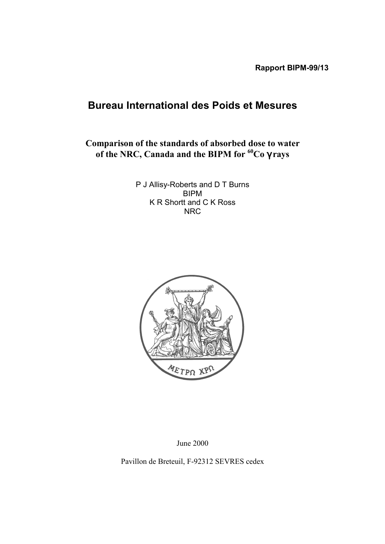# **Bureau International des Poids et Mesures**

**Comparison of the standards of absorbed dose to water of the NRC, Canada and the BIPM for 60Co** γ **rays**

> P J Allisy-Roberts and D T Burns BIPM K R Shortt and C K Ross NRC



June 2000

Pavillon de Breteuil, F-92312 SEVRES cedex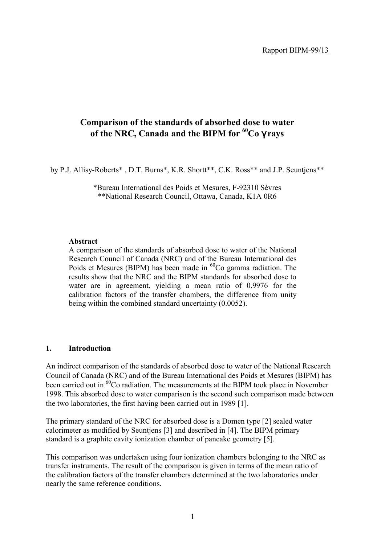# **Comparison of the standards of absorbed dose to water of the NRC, Canada and the BIPM for 60Co** γ **rays**

by P.J. Allisy-Roberts\* , D.T. Burns\*, K.R. Shortt\*\*, C.K. Ross\*\* and J.P. Seuntjens\*\*

\*Bureau International des Poids et Mesures, F-92310 SËvres \*\*National Research Council, Ottawa, Canada, K1A 0R6

#### **Abstract**

A comparison of the standards of absorbed dose to water of the National Research Council of Canada (NRC) and of the Bureau International des Poids et Mesures (BIPM) has been made in <sup>60</sup>Co gamma radiation. The results show that the NRC and the BIPM standards for absorbed dose to water are in agreement, yielding a mean ratio of 0.9976 for the calibration factors of the transfer chambers, the difference from unity being within the combined standard uncertainty (0.0052).

#### **1. Introduction**

An indirect comparison of the standards of absorbed dose to water of the National Research Council of Canada (NRC) and of the Bureau International des Poids et Mesures (BIPM) has been carried out in  $60^{\circ}$ Co radiation. The measurements at the BIPM took place in November 1998. This absorbed dose to water comparison is the second such comparison made between the two laboratories, the first having been carried out in 1989 [1].

The primary standard of the NRC for absorbed dose is a Domen type [2] sealed water calorimeter as modified by Seuntjens [3] and described in [4]. The BIPM primary standard is a graphite cavity ionization chamber of pancake geometry [5].

This comparison was undertaken using four ionization chambers belonging to the NRC as transfer instruments. The result of the comparison is given in terms of the mean ratio of the calibration factors of the transfer chambers determined at the two laboratories under nearly the same reference conditions.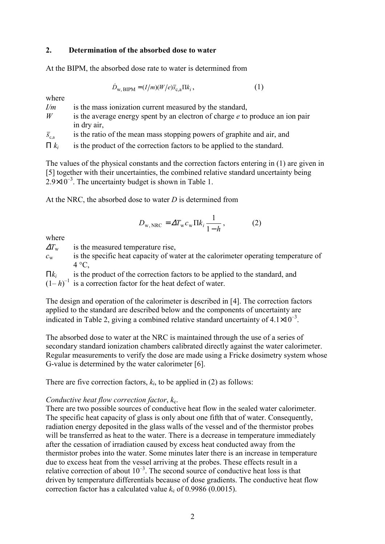## **2. Determination of the absorbed dose to water**

At the BIPM, the absorbed dose rate to water is determined from

$$
\dot{D}_{\text{w,BIPM}} = (I/m)(W/e)\bar{s}_{\text{c,a}}\Pi k_i, \qquad (1)
$$

where

*I/m* is the mass ionization current measured by the standard,

*W* is the average energy spent by an electron of charge *e* to produce an ion pair in dry air,

 $\bar{s}_{ca}$  is the ratio of the mean mass stopping powers of graphite and air, and

 $\Pi k_i$  is the product of the correction factors to be applied to the standard.

The values of the physical constants and the correction factors entering in (1) are given in [5] together with their uncertainties, the combined relative standard uncertainty being  $2.9\times10^{-3}$ . The uncertainty budget is shown in Table 1.

At the NRC, the absorbed dose to water *D* is determined from

$$
D_{\text{w,NRC}} = \Delta T_{\text{w}} c_{\text{w}} \Pi k_i \frac{1}{1-h}, \qquad (2)
$$

where

 $\Delta T_{\rm w}$  is the measured temperature rise,

*c*w is the specific heat capacity of water at the calorimeter operating temperature of  $4^{\circ}C$ ,

Π*ki* is the product of the correction factors to be applied to the standard, and

 $(1-h)^{-1}$  is a correction factor for the heat defect of water.

The design and operation of the calorimeter is described in [4]. The correction factors applied to the standard are described below and the components of uncertainty are indicated in Table 2, giving a combined relative standard uncertainty of  $4.1 \times 10^{-3}$ .

The absorbed dose to water at the NRC is maintained through the use of a series of secondary standard ionization chambers calibrated directly against the water calorimeter. Regular measurements to verify the dose are made using a Fricke dosimetry system whose G-value is determined by the water calorimeter [6].

There are five correction factors,  $k_i$ , to be applied in (2) as follows:

#### *Conductive heat flow correction factor,*  $k_c$ *.*

There are two possible sources of conductive heat flow in the sealed water calorimeter. The specific heat capacity of glass is only about one fifth that of water. Consequently, radiation energy deposited in the glass walls of the vessel and of the thermistor probes will be transferred as heat to the water. There is a decrease in temperature immediately after the cessation of irradiation caused by excess heat conducted away from the thermistor probes into the water. Some minutes later there is an increase in temperature due to excess heat from the vessel arriving at the probes. These effects result in a relative correction of about  $10^{-3}$ . The second source of conductive heat loss is that driven by temperature differentials because of dose gradients. The conductive heat flow correction factor has a calculated value  $k_c$  of 0.9986 (0.0015).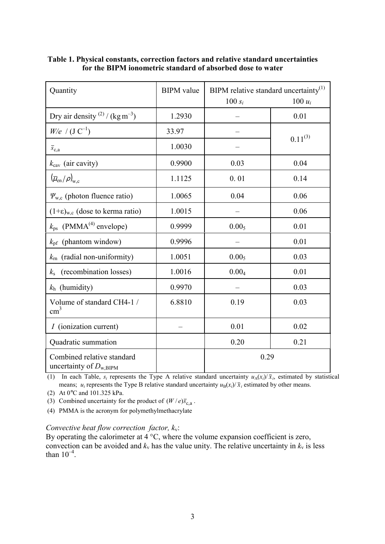| Quantity                                                  | <b>BIPM</b> value | BIPM relative standard uncertainty $^{(1)}$ |              |  |
|-----------------------------------------------------------|-------------------|---------------------------------------------|--------------|--|
|                                                           |                   | $100 s_i$                                   | 100 $u_i$    |  |
| Dry air density $^{(2)}$ / (kg m <sup>-3</sup> )          | 1.2930            |                                             | 0.01         |  |
| $W/e$ / $(J C^{-1})$                                      | 33.97             |                                             | $0.11^{(3)}$ |  |
| $\overline{s}_{c,a}$                                      | 1.0030            |                                             |              |  |
| $k_{\text{cav}}$ (air cavity)                             | 0.9900            | 0.03                                        | 0.04         |  |
| $(\overline{\mu}_{en}/\rho)_{w,c}$                        | 1.1125            | 0.01                                        | 0.14         |  |
| $\Psi_{w,c}$ (photon fluence ratio)                       | 1.0065            | 0.04                                        | 0.06         |  |
| $(1+\epsilon)_{w,c}$ (dose to kerma ratio)                | 1.0015            |                                             | 0.06         |  |
| $k_{\text{ps}}$ (PMMA <sup>(4)</sup> envelope)            | 0.9999            | 0.00 <sub>5</sub>                           | 0.01         |  |
| $k_{\text{pf}}$ (phantom window)                          | 0.9996            |                                             | 0.01         |  |
| (radial non-uniformity)<br>$k_{\rm rn}$                   | 1.0051            | 0.00 <sub>5</sub>                           | 0.03         |  |
| (recombination losses)<br>$k_{\rm s}$                     | 1.0016            | 0.00 <sub>4</sub>                           | 0.01         |  |
| $k_h$ (humidity)                                          | 0.9970            |                                             | 0.03         |  |
| Volume of standard CH4-1 /<br>$\text{cm}^3$               | 6.8810            | 0.19                                        | 0.03         |  |
| <i>I</i> (ionization current)                             |                   | 0.01                                        | 0.02         |  |
| Quadratic summation                                       |                   | 0.20                                        | 0.21         |  |
| Combined relative standard<br>uncertainty of $D_{w,BIPM}$ |                   | 0.29                                        |              |  |

## **Table 1. Physical constants, correction factors and relative standard uncertainties for the BIPM ionometric standard of absorbed dose to water**

(1) In each Table,  $s_i$  represents the Type A relative standard uncertainty  $u_A(x_i)/\overline{x}_i$ , estimated by statistical means;  $u_i$  represents the Type B relative standard uncertainty  $u_B(x_i)/\bar{x}_i$  estimated by other means.

(2) At 0°C and 101.325 kPa.

(3) Combined uncertainty for the product of  $(W / e)$ *s*<sub>c,a</sub>.

(4) PMMA is the acronym for polymethylmethacrylate

#### *Convective heat flow correction factor, k*v:

By operating the calorimeter at  $4^{\circ}$ C, where the volume expansion coefficient is zero, convection can be avoided and  $k_v$  has the value unity. The relative uncertainty in  $k_v$  is less than  $10^{-4}$ .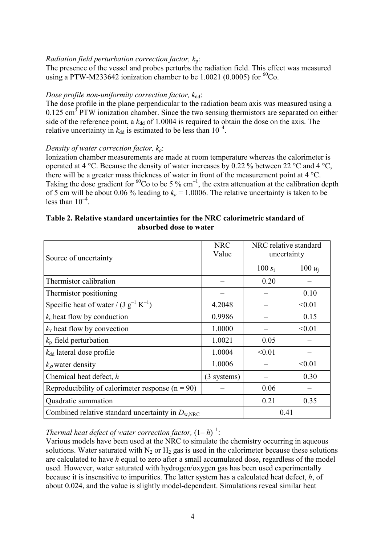## *Radiation field perturbation correction factor, k*p:

The presence of the vessel and probes perturbs the radiation field. This effect was measured using a PTW-M233642 ionization chamber to be 1.0021 (0.0005) for  ${}^{60}Co$ .

#### *Dose profile non-uniformity correction factor, k*dd:

The dose profile in the plane perpendicular to the radiation beam axis was measured using a  $0.125$  cm<sup>3</sup> PTW ionization chamber. Since the two sensing thermistors are separated on either side of the reference point, a  $k_{dd}$  of 1.0004 is required to obtain the dose on the axis. The relative uncertainty in  $k_{dd}$  is estimated to be less than  $10^{-4}$ .

## *Density of water correction factor, kρ*:

Ionization chamber measurements are made at room temperature whereas the calorimeter is operated at 4 °C. Because the density of water increases by 0.22 % between 22 °C and 4 °C, there will be a greater mass thickness of water in front of the measurement point at 4 °C. Taking the dose gradient for <sup>60</sup>Co to be 5 % cm<sup>-1</sup>, the extra attenuation at the calibration depth of 5 cm will be about 0.06 % leading to  $k<sub>0</sub> = 1.0006$ . The relative uncertainty is taken to be less than  $10<sup>-4</sup>$ .

## **Table 2. Relative standard uncertainties for the NRC calorimetric standard of absorbed dose to water**

| Source of uncertainty                                        | <b>NRC</b><br>Value | NRC relative standard<br>uncertainty |           |
|--------------------------------------------------------------|---------------------|--------------------------------------|-----------|
|                                                              |                     | $100 s_i$                            | 100 $u_i$ |
| Thermistor calibration                                       |                     | 0.20                                 |           |
| Thermistor positioning                                       |                     |                                      | 0.10      |
| Specific heat of water / $(J g^{-1} K^{-1})$                 | 4.2048              |                                      | < 0.01    |
| $k_c$ heat flow by conduction                                | 0.9986              |                                      | 0.15      |
| $k_v$ heat flow by convection                                | 1.0000              |                                      | < 0.01    |
| $k_{\rm p}$ field perturbation                               | 1.0021              | 0.05                                 |           |
| $k_{\rm dd}$ lateral dose profile                            | 1.0004              | < 0.01                               |           |
| $k_{\rho}$ water density                                     | 1.0006              |                                      | < 0.01    |
| Chemical heat defect, h                                      | $(3$ systems)       |                                      | 0.30      |
| Reproducibility of calorimeter response $(n = 90)$           |                     | 0.06                                 |           |
| Quadratic summation                                          |                     | 0.21                                 | 0.35      |
| Combined relative standard uncertainty in $D_{\text{w,NRC}}$ |                     | 0.41                                 |           |

# *Thermal heat defect of water correction factor,*  $(1-h)^{-1}$ :

Various models have been used at the NRC to simulate the chemistry occurring in aqueous solutions. Water saturated with  $N_2$  or  $H_2$  gas is used in the calorimeter because these solutions are calculated to have *h* equal to zero after a small accumulated dose, regardless of the model used. However, water saturated with hydrogen/oxygen gas has been used experimentally because it is insensitive to impurities. The latter system has a calculated heat defect, *h*, of about 0.024, and the value is slightly model-dependent. Simulations reveal similar heat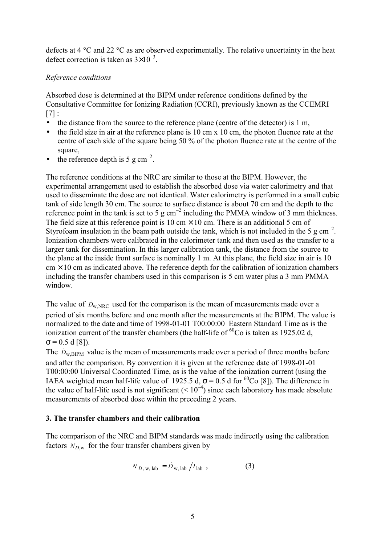defects at 4 °C and 22 °C as are observed experimentally. The relative uncertainty in the heat defect correction is taken as  $3\times10^{-3}$ .

## *Reference conditions*

Absorbed dose is determined at the BIPM under reference conditions defined by the Consultative Committee for Ionizing Radiation (CCRI), previously known as the CCEMRI  $[7]$  :

- the distance from the source to the reference plane (centre of the detector) is 1 m,
- the field size in air at the reference plane is 10 cm  $x$  10 cm, the photon fluence rate at the centre of each side of the square being 50 % of the photon fluence rate at the centre of the square,
- the reference depth is 5 g cm<sup>-2</sup>.

The reference conditions at the NRC are similar to those at the BIPM. However, the experimental arrangement used to establish the absorbed dose via water calorimetry and that used to disseminate the dose are not identical. Water calorimetry is performed in a small cubic tank of side length 30 cm. The source to surface distance is about 70 cm and the depth to the reference point in the tank is set to 5 g  $cm<sup>2</sup>$  including the PMMA window of 3 mm thickness. The field size at this reference point is 10 cm  $\times$  10 cm. There is an additional 5 cm of Styrofoam insulation in the beam path outside the tank, which is not included in the 5 g cm<sup>-2</sup>. Ionization chambers were calibrated in the calorimeter tank and then used as the transfer to a larger tank for dissemination. In this larger calibration tank, the distance from the source to the plane at the inside front surface is nominally 1 m. At this plane, the field size in air is 10  $\text{cm} \times 10 \text{ cm}$  as indicated above. The reference depth for the calibration of ionization chambers including the transfer chambers used in this comparison is 5 cm water plus a 3 mm PMMA window.

The value of  $\dot{D}_{W NRC}$  used for the comparison is the mean of measurements made over a period of six months before and one month after the measurements at the BIPM. The value is normalized to the date and time of 1998-01-01 T00:00:00 Eastern Standard Time as is the ionization current of the transfer chambers (the half-life of  ${}^{60}$ Co is taken as 1925.02 d,  $\sigma$  = 0.5 d [8]).

The  $\dot{D}_{\text{w BIPM}}$  value is the mean of measurements made over a period of three months before and after the comparison. By convention it is given at the reference date of 1998-01-01 T00:00:00 Universal Coordinated Time, as is the value of the ionization current (using the IAEA weighted mean half-life value of 1925.5 d,  $\sigma$  = 0.5 d for <sup>60</sup>Co [8]). The difference in the value of half-life used is not significant  $(< 10<sup>-4</sup>)$  since each laboratory has made absolute measurements of absorbed dose within the preceding 2 years.

## **3. The transfer chambers and their calibration**

The comparison of the NRC and BIPM standards was made indirectly using the calibration factors  $N_{D,w}$  for the four transfer chambers given by

$$
N_{D, w, lab} = \dot{D}_{w, lab} / I_{lab} , \qquad (3)
$$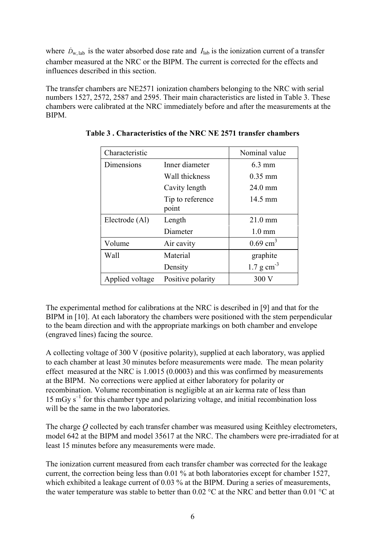where  $\dot{D}_{w, lab}$  is the water absorbed dose rate and  $I_{lab}$  is the ionization current of a transfer chamber measured at the NRC or the BIPM. The current is corrected for the effects and influences described in this section.

The transfer chambers are NE2571 ionization chambers belonging to the NRC with serial numbers 1527, 2572, 2587 and 2595. Their main characteristics are listed in Table 3. These chambers were calibrated at the NRC immediately before and after the measurements at the BIPM.

| Characteristic               |                           | Nominal value           |
|------------------------------|---------------------------|-------------------------|
| Dimensions<br>Inner diameter |                           | $6.3$ mm                |
|                              | Wall thickness            | $0.35$ mm               |
|                              | Cavity length             | $24.0$ mm               |
|                              | Tip to reference<br>point | 14.5 mm                 |
| Electrode (Al)               | Length                    | $21.0 \text{ mm}$       |
|                              | Diameter                  | $1.0 \text{ mm}$        |
| Volume                       | Air cavity                | $0.69$ cm <sup>3</sup>  |
| Wall                         | Material                  | graphite                |
|                              | Density                   | $1.7 \text{ g cm}^{-3}$ |
| Applied voltage              | Positive polarity         | 300V                    |

**Table 3 . Characteristics of the NRC NE 2571 transfer chambers**

The experimental method for calibrations at the NRC is described in [9] and that for the BIPM in [10]. At each laboratory the chambers were positioned with the stem perpendicular to the beam direction and with the appropriate markings on both chamber and envelope (engraved lines) facing the source.

A collecting voltage of 300 V (positive polarity), supplied at each laboratory, was applied to each chamber at least 30 minutes before measurements were made. The mean polarity effect measured at the NRC is 1.0015 (0.0003) and this was confirmed by measurements at the BIPM. No corrections were applied at either laboratory for polarity or recombination. Volume recombination is negligible at an air kerma rate of less than 15 mGy  $s^{-1}$  for this chamber type and polarizing voltage, and initial recombination loss will be the same in the two laboratories.

The charge *Q* collected by each transfer chamber was measured using Keithley electrometers, model 642 at the BIPM and model 35617 at the NRC. The chambers were pre-irradiated for at least 15 minutes before any measurements were made.

The ionization current measured from each transfer chamber was corrected for the leakage current, the correction being less than 0.01 % at both laboratories except for chamber 1527, which exhibited a leakage current of 0.03 % at the BIPM. During a series of measurements, the water temperature was stable to better than 0.02 °C at the NRC and better than 0.01 °C at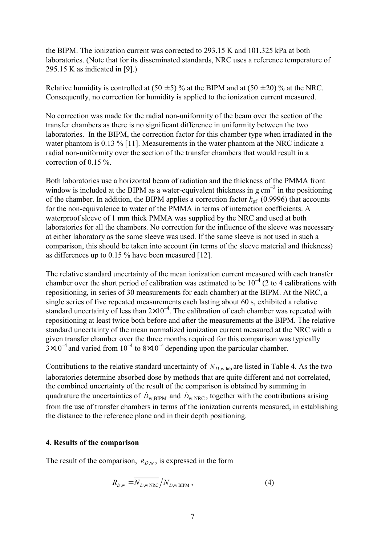the BIPM. The ionization current was corrected to 293.15 K and 101.325 kPa at both laboratories. (Note that for its disseminated standards, NRC uses a reference temperature of 295.15 K as indicated in [9].)

Relative humidity is controlled at  $(50 \pm 5)$ % at the BIPM and at  $(50 \pm 20)$ % at the NRC. Consequently, no correction for humidity is applied to the ionization current measured.

No correction was made for the radial non-uniformity of the beam over the section of the transfer chambers as there is no significant difference in uniformity between the two laboratories. In the BIPM, the correction factor for this chamber type when irradiated in the water phantom is 0.13 % [11]. Measurements in the water phantom at the NRC indicate a radial non-uniformity over the section of the transfer chambers that would result in a correction of 0.15 %.

Both laboratories use a horizontal beam of radiation and the thickness of the PMMA front window is included at the BIPM as a water-equivalent thickness in g  $cm<sup>-2</sup>$  in the positioning of the chamber. In addition, the BIPM applies a correction factor  $k_{\text{pf}}$  (0.9996) that accounts for the non-equivalence to water of the PMMA in terms of interaction coefficients. A waterproof sleeve of 1 mm thick PMMA was supplied by the NRC and used at both laboratories for all the chambers. No correction for the influence of the sleeve was necessary at either laboratory as the same sleeve was used. If the same sleeve is not used in such a comparison, this should be taken into account (in terms of the sleeve material and thickness) as differences up to 0.15 % have been measured [12].

The relative standard uncertainty of the mean ionization current measured with each transfer chamber over the short period of calibration was estimated to be  $10^{-4}$  (2 to 4 calibrations with repositioning, in series of 30 measurements for each chamber) at the BIPM. At the NRC, a single series of five repeated measurements each lasting about 60 s, exhibited a relative standard uncertainty of less than  $2\times10^{-4}$ . The calibration of each chamber was repeated with repositioning at least twice both before and after the measurements at the BIPM. The relative standard uncertainty of the mean normalized ionization current measured at the NRC with a given transfer chamber over the three months required for this comparison was typically  $3 \times 10^{-4}$  and varied from  $10^{-4}$  to  $8 \times 10^{-4}$  depending upon the particular chamber.

Contributions to the relative standard uncertainty of  $N_{D,\text{w lab}}$  are listed in Table 4. As the two laboratories determine absorbed dose by methods that are quite different and not correlated, the combined uncertainty of the result of the comparison is obtained by summing in quadrature the uncertainties of  $\dot{D}_{w,BIPM}$  and  $\dot{D}_{w,NRC}$ , together with the contributions arising from the use of transfer chambers in terms of the ionization currents measured, in establishing the distance to the reference plane and in their depth positioning.

#### **4. Results of the comparison**

The result of the comparison,  $R_{D,w}$ , is expressed in the form

$$
R_{D,w} = \overline{N_{D,w \text{ NRC}}} / N_{D,w \text{ BIPM}} , \qquad (4)
$$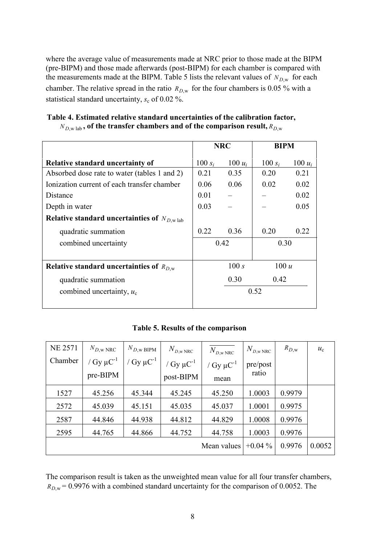where the average value of measurements made at NRC prior to those made at the BIPM (pre-BIPM) and those made afterwards (post-BIPM) for each chamber is compared with the measurements made at the BIPM. Table 5 lists the relevant values of  $N_{D,w}$  for each chamber. The relative spread in the ratio  $R_{D,w}$  for the four chambers is 0.05 % with a statistical standard uncertainty,  $s_c$  of 0.02 %.

|                                                             | <b>NRC</b>   |           | <b>BIPM</b> |           |
|-------------------------------------------------------------|--------------|-----------|-------------|-----------|
| <b>Relative standard uncertainty of</b>                     | 100 $s_i$    | 100 $u_i$ | 100 $s_i$   | 100 $u_i$ |
| Absorbed dose rate to water (tables 1 and 2)                | 0.21         | 0.35      | 0.20        | 0.21      |
| Ionization current of each transfer chamber                 | 0.06         | 0.06      | 0.02        | 0.02      |
| Distance                                                    | 0.01         |           |             | 0.02      |
| Depth in water                                              | 0.03         |           |             | 0.05      |
| Relative standard uncertainties of $N_{D,w}$ <sub>lab</sub> |              |           |             |           |
| quadratic summation                                         | 0.22         | 0.36      | 0.20        | 0.22      |
| combined uncertainty                                        | 0.42<br>0.30 |           |             |           |
|                                                             |              |           |             |           |
| Relative standard uncertainties of $R_{D,w}$                | 100 s        |           | 100 u       |           |
| quadratic summation                                         | 0.30         |           | 0.42        |           |
| combined uncertainty, $u_c$                                 | 0.52         |           |             |           |
|                                                             |              |           |             |           |

|  |  | Table 4. Estimated relative standard uncertainties of the calibration factor,             |  |  |
|--|--|-------------------------------------------------------------------------------------------|--|--|
|  |  | $N_{Dw}$ <sub>lab</sub> , of the transfer chambers and of the comparison result, $R_{Dw}$ |  |  |

|  |  | Table 5. Results of the comparison |
|--|--|------------------------------------|
|  |  |                                    |

| <b>NE 2571</b> | $N_{D,\text{w} \text{ NRC}}$ | $N_{D,\text{w BIPM}}$      | $N_{D,\text{w NRC}}$ | $N_{D,\rm w\,NRC}$         | $N_{D,\mathrm{w\,NRC}}$ | $R_{D,\text{w}}$ | $u_{c}$ |
|----------------|------------------------------|----------------------------|----------------------|----------------------------|-------------------------|------------------|---------|
| Chamber        | / $Gy \mu C^{-1}$            | / Gy $\mu$ C <sup>-1</sup> | / $Gy \mu C^{-1}$    | / Gy $\mu$ C <sup>-1</sup> | pre/post                |                  |         |
|                | pre-BIPM                     |                            | post-BIPM            | mean                       | ratio                   |                  |         |
| 1527           | 45.256                       | 45.344                     | 45.245               | 45.250                     | 1.0003                  | 0.9979           |         |
| 2572           | 45.039                       | 45.151                     | 45.035               | 45.037                     | 1.0001                  | 0.9975           |         |
| 2587           | 44.846                       | 44.938                     | 44.812               | 44.829                     | 1.0008                  | 0.9976           |         |
| 2595           | 44.765                       | 44.866                     | 44.752               | 44.758                     | 1.0003                  | 0.9976           |         |
|                |                              |                            |                      | Mean values                | $+0.04\%$               | 0.9976           | 0.0052  |

The comparison result is taken as the unweighted mean value for all four transfer chambers,  $R_{D,w} = 0.9976$  with a combined standard uncertainty for the comparison of 0.0052. The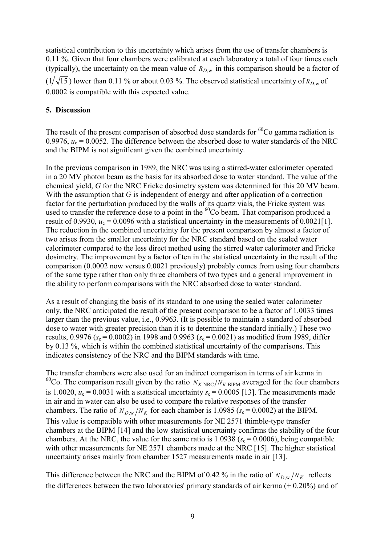statistical contribution to this uncertainty which arises from the use of transfer chambers is 0.11 %. Given that four chambers were calibrated at each laboratory a total of four times each (typically), the uncertainty on the mean value of  $R_{D,w}$  in this comparison should be a factor of  $(1/\sqrt{15})$  lower than 0.11 % or about 0.03 %. The observed statistical uncertainty of  $R_{D,w}$  of

0.0002 is compatible with this expected value.

#### **5. Discussion**

The result of the present comparison of absorbed dose standards for  ${}^{60}Co$  gamma radiation is 0.9976,  $u_c = 0.0052$ . The difference between the absorbed dose to water standards of the NRC and the BIPM is not significant given the combined uncertainty.

In the previous comparison in 1989, the NRC was using a stirred-water calorimeter operated in a 20 MV photon beam as the basis for its absorbed dose to water standard. The value of the chemical yield, *G* for the NRC Fricke dosimetry system was determined for this 20 MV beam. With the assumption that *G* is independent of energy and after application of a correction factor for the perturbation produced by the walls of its quartz vials, the Fricke system was used to transfer the reference dose to a point in the  ${}^{60}Co$  beam. That comparison produced a result of 0.9930,  $u_c = 0.0096$  with a statistical uncertainty in the measurements of 0.0021[1]. The reduction in the combined uncertainty for the present comparison by almost a factor of two arises from the smaller uncertainty for the NRC standard based on the sealed water calorimeter compared to the less direct method using the stirred water calorimeter and Fricke dosimetry. The improvement by a factor of ten in the statistical uncertainty in the result of the comparison (0.0002 now versus 0.0021 previously) probably comes from using four chambers of the same type rather than only three chambers of two types and a general improvement in the ability to perform comparisons with the NRC absorbed dose to water standard.

As a result of changing the basis of its standard to one using the sealed water calorimeter only, the NRC anticipated the result of the present comparison to be a factor of 1.0033 times larger than the previous value, i.e., 0.9963. (It is possible to maintain a standard of absorbed dose to water with greater precision than it is to determine the standard initially.) These two results,  $0.9976$  ( $s_c = 0.0002$ ) in 1998 and 0.9963 ( $s_c = 0.0021$ ) as modified from 1989, differ by 0.13 %, which is within the combined statistical uncertainty of the comparisons. This indicates consistency of the NRC and the BIPM standards with time.

The transfer chambers were also used for an indirect comparison in terms of air kerma in <sup>60</sup>Co. The comparison result given by the ratio  $N_{K N RC}/N_{K BIPM}$  averaged for the four chambers is 1.0020,  $u_c = 0.0031$  with a statistical uncertainty  $s_c = 0.0005$  [13]. The measurements made in air and in water can also be used to compare the relative responses of the transfer chambers. The ratio of  $N_{D,w}/N_K$  for each chamber is 1.0985 ( $s_c = 0.0002$ ) at the BIPM. This value is compatible with other measurements for NE 2571 thimble-type transfer chambers at the BIPM [14] and the low statistical uncertainty confirms the stability of the four chambers. At the NRC, the value for the same ratio is  $1.0938$  ( $s_c = 0.0006$ ), being compatible with other measurements for NE 2571 chambers made at the NRC [15]. The higher statistical uncertainty arises mainly from chamber 1527 measurements made in air [13].

This difference between the NRC and the BIPM of 0.42 % in the ratio of  $N_{D,w}/N_K$  reflects the differences between the two laboratories' primary standards of air kerma  $(+ 0.20\%)$  and of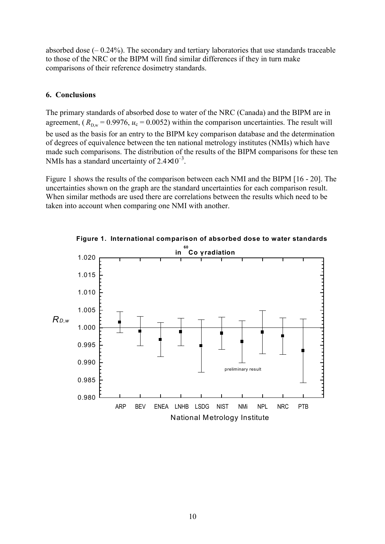absorbed dose  $(-0.24\%)$ . The secondary and tertiary laboratories that use standards traceable to those of the NRC or the BIPM will find similar differences if they in turn make comparisons of their reference dosimetry standards.

## **6. Conclusions**

The primary standards of absorbed dose to water of the NRC (Canada) and the BIPM are in agreement,  $(R_{\text{Dw}} = 0.9976, u_c = 0.0052)$  within the comparison uncertainties. The result will be used as the basis for an entry to the BIPM key comparison database and the determination of degrees of equivalence between the ten national metrology institutes (NMIs) which have made such comparisons. The distribution of the results of the BIPM comparisons for these ten NMIs has a standard uncertainty of  $2.4\times10^{-3}$ .

Figure 1 shows the results of the comparison between each NMI and the BIPM [16 - 20]. The uncertainties shown on the graph are the standard uncertainties for each comparison result. When similar methods are used there are correlations between the results which need to be taken into account when comparing one NMI with another.



**Figure 1. International comparison of absorbed dose to water standards**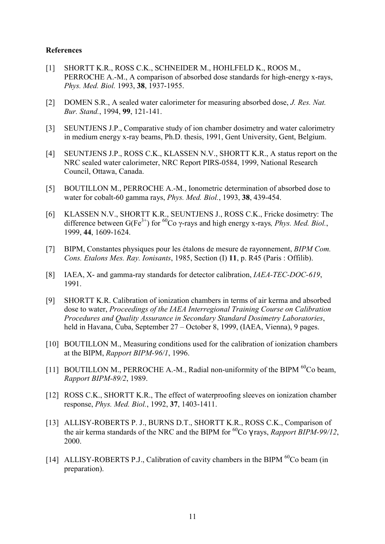#### **References**

- [1] SHORTT K.R., ROSS C.K., SCHNEIDER M., HOHLFELD K., ROOS M., PERROCHE A.-M., A comparison of absorbed dose standards for high-energy x-rays, *Phys. Med. Biol.* 1993, **38**, 1937-1955.
- [2] DOMEN S.R., A sealed water calorimeter for measuring absorbed dose, *J. Res. Nat. Bur. Stand.*, 1994, **99**, 121-141.
- [3] SEUNTJENS J.P., Comparative study of ion chamber dosimetry and water calorimetry in medium energy x-ray beams, Ph.D. thesis, 1991, Gent University, Gent, Belgium.
- [4] SEUNTJENS J.P., ROSS C.K., KLASSEN N.V., SHORTT K.R., A status report on the NRC sealed water calorimeter, NRC Report PIRS-0584, 1999, National Research Council, Ottawa, Canada.
- [5] BOUTILLON M., PERROCHE A.-M., Ionometric determination of absorbed dose to water for cobalt-60 gamma rays, *Phys. Med. Biol.*, 1993, **38**, 439-454.
- [6] KLASSEN N.V., SHORTT K.R., SEUNTJENS J., ROSS C.K., Fricke dosimetry: The difference between G(Fe<sup>3+</sup>) for <sup>60</sup>Co γ-rays and high energy x-rays, *Phys. Med. Biol.*, 1999, **44**, 1609-1624.
- [7] BIPM, Constantes physiques pour les Ètalons de mesure de rayonnement, *BIPM Com. Cons. Etalons Mes. Ray. Ionisants*, 1985, Section (I) **11**, p. R45 (Paris : Offilib).
- [8] IAEA, X- and gamma-ray standards for detector calibration, *IAEA-TEC-DOC-619*, 1991.
- [9] SHORTT K.R. Calibration of ionization chambers in terms of air kerma and absorbed dose to water, *Proceedings of the IAEA Interregional Training Course on Calibration Procedures and Quality Assurance in Secondary Standard Dosimetry Laboratories*, held in Havana, Cuba, September 27 – October 8, 1999, (IAEA, Vienna), 9 pages.
- [10] BOUTILLON M., Measuring conditions used for the calibration of ionization chambers at the BIPM, *Rapport BIPM-96/1*, 1996.
- [11] BOUTILLON M., PERROCHE A.-M., Radial non-uniformity of the BIPM <sup>60</sup>Co beam. *Rapport BIPM-89/2*, 1989.
- [12] ROSS C.K., SHORTT K.R., The effect of waterproofing sleeves on ionization chamber response, *Phys. Med. Biol.*, 1992, **37**, 1403-1411.
- [13] ALLISY-ROBERTS P. J., BURNS D.T., SHORTT K.R., ROSS C.K., Comparison of the air kerma standards of the NRC and the BIPM for  ${}^{60}Co$   $\gamma$  rays, *Rapport BIPM-99/12*, 2000.
- [14] ALLISY-ROBERTS P.J., Calibration of cavity chambers in the BIPM <sup>60</sup>Co beam (in preparation).